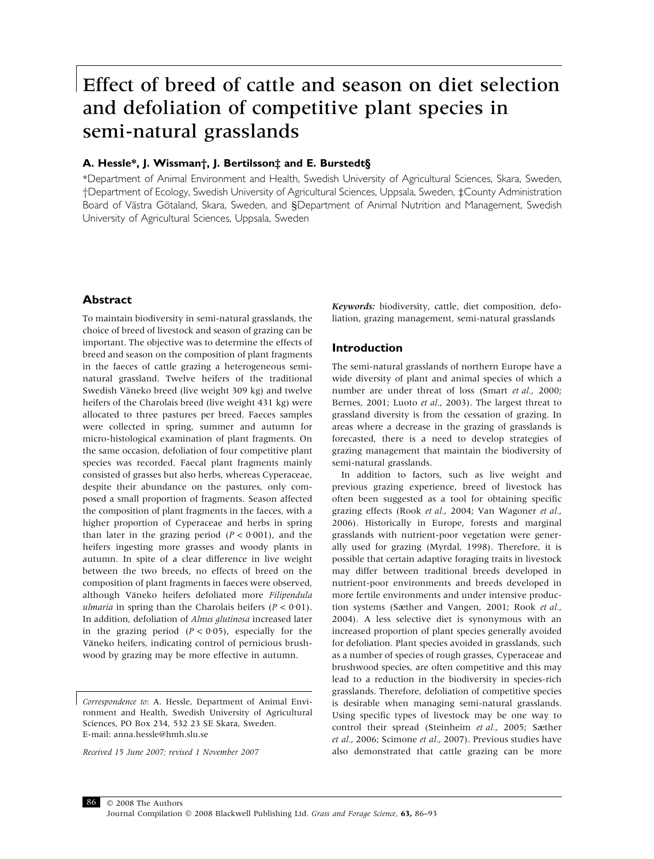# Effect of breed of cattle and season on diet selection and defoliation of competitive plant species in semi-natural grasslands

# A. Hessle\*, J. Wissman†, J. Bertilsson‡ and E. Burstedt§

\*Department of Animal Environment and Health, Swedish University of Agricultural Sciences, Skara, Sweden, †Department of Ecology, Swedish University of Agricultural Sciences, Uppsala, Sweden, ‡County Administration Board of Västra Götaland, Skara, Sweden, and §Department of Animal Nutrition and Management, Swedish University of Agricultural Sciences, Uppsala, Sweden

# Abstract

To maintain biodiversity in semi-natural grasslands, the choice of breed of livestock and season of grazing can be important. The objective was to determine the effects of breed and season on the composition of plant fragments in the faeces of cattle grazing a heterogeneous seminatural grassland. Twelve heifers of the traditional Swedish Väneko breed (live weight 309 kg) and twelve heifers of the Charolais breed (live weight 431 kg) were allocated to three pastures per breed. Faeces samples were collected in spring, summer and autumn for micro-histological examination of plant fragments. On the same occasion, defoliation of four competitive plant species was recorded. Faecal plant fragments mainly consisted of grasses but also herbs, whereas Cyperaceae, despite their abundance on the pastures, only composed a small proportion of fragments. Season affected the composition of plant fragments in the faeces, with a higher proportion of Cyperaceae and herbs in spring than later in the grazing period  $(P < 0.001)$ , and the heifers ingesting more grasses and woody plants in autumn. In spite of a clear difference in live weight between the two breeds, no effects of breed on the composition of plant fragments in faeces were observed, although Väneko heifers defoliated more Filipendula ulmaria in spring than the Charolais heifers  $(P < 0.01)$ . In addition, defoliation of Alnus glutinosa increased later in the grazing period  $(P < 0.05)$ , especially for the Väneko heifers, indicating control of pernicious brushwood by grazing may be more effective in autumn.

Received 15 June 2007; revised 1 November 2007

Keywords: biodiversity, cattle, diet composition, defoliation, grazing management, semi-natural grasslands

# Introduction

The semi-natural grasslands of northern Europe have a wide diversity of plant and animal species of which a number are under threat of loss (Smart et al., 2000; Bernes, 2001; Luoto et al., 2003). The largest threat to grassland diversity is from the cessation of grazing. In areas where a decrease in the grazing of grasslands is forecasted, there is a need to develop strategies of grazing management that maintain the biodiversity of semi-natural grasslands.

In addition to factors, such as live weight and previous grazing experience, breed of livestock has often been suggested as a tool for obtaining specific grazing effects (Rook et al., 2004; Van Wagoner et al., 2006). Historically in Europe, forests and marginal grasslands with nutrient-poor vegetation were generally used for grazing (Myrdal, 1998). Therefore, it is possible that certain adaptive foraging traits in livestock may differ between traditional breeds developed in nutrient-poor environments and breeds developed in more fertile environments and under intensive production systems (Sæther and Vangen, 2001; Rook et al., 2004). A less selective diet is synonymous with an increased proportion of plant species generally avoided for defoliation. Plant species avoided in grasslands, such as a number of species of rough grasses, Cyperaceae and brushwood species, are often competitive and this may lead to a reduction in the biodiversity in species-rich grasslands. Therefore, defoliation of competitive species is desirable when managing semi-natural grasslands. Using specific types of livestock may be one way to control their spread (Steinheim et al., 2005; Sæther et al., 2006; Scimone et al., 2007). Previous studies have also demonstrated that cattle grazing can be more



Correspondence to: A. Hessle, Department of Animal Environment and Health, Swedish University of Agricultural Sciences, PO Box 234, 532 23 SE Skara, Sweden. E-mail: anna.hessle@hmh.slu.se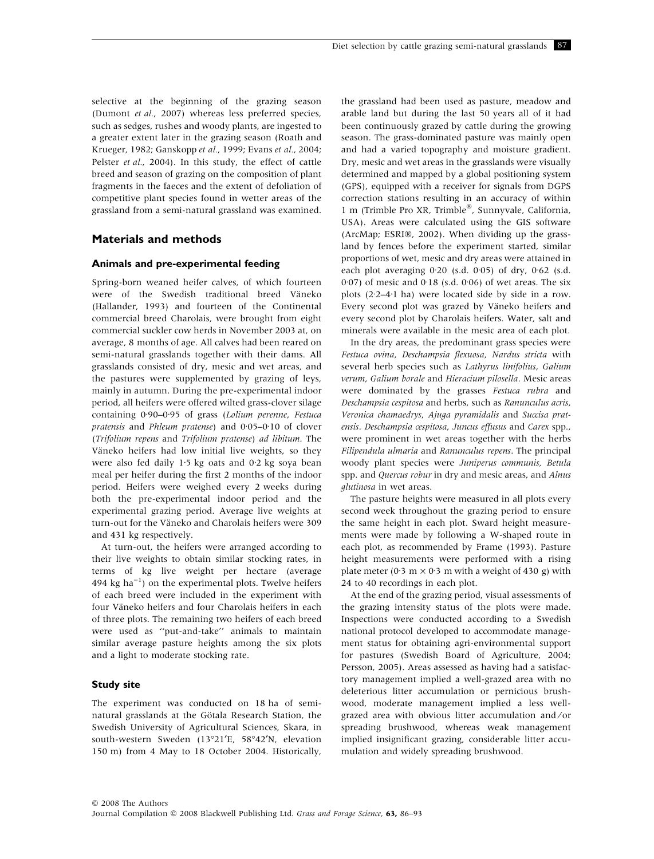selective at the beginning of the grazing season (Dumont et al., 2007) whereas less preferred species, such as sedges, rushes and woody plants, are ingested to a greater extent later in the grazing season (Roath and Krueger, 1982; Ganskopp et al., 1999; Evans et al., 2004; Pelster et al., 2004). In this study, the effect of cattle breed and season of grazing on the composition of plant fragments in the faeces and the extent of defoliation of competitive plant species found in wetter areas of the grassland from a semi-natural grassland was examined.

# Materials and methods

## Animals and pre-experimental feeding

Spring-born weaned heifer calves, of which fourteen were of the Swedish traditional breed Väneko (Hallander, 1993) and fourteen of the Continental commercial breed Charolais, were brought from eight commercial suckler cow herds in November 2003 at, on average, 8 months of age. All calves had been reared on semi-natural grasslands together with their dams. All grasslands consisted of dry, mesic and wet areas, and the pastures were supplemented by grazing of leys, mainly in autumn. During the pre-experimental indoor period, all heifers were offered wilted grass-clover silage containing 0.90–0.95 of grass (Lolium perenne, Festuca pratensis and Phleum pratense) and  $0.05-0.10$  of clover (Trifolium repens and Trifolium pratense) ad libitum. The Väneko heifers had low initial live weights, so they were also fed daily  $1.5$  kg oats and  $0.2$  kg soya bean meal per heifer during the first 2 months of the indoor period. Heifers were weighed every 2 weeks during both the pre-experimental indoor period and the experimental grazing period. Average live weights at turn-out for the Väneko and Charolais heifers were 309 and 431 kg respectively.

At turn-out, the heifers were arranged according to their live weights to obtain similar stocking rates, in terms of kg live weight per hectare (average 494 kg ha $^{-1}$ ) on the experimental plots. Twelve heifers of each breed were included in the experiment with four Väneko heifers and four Charolais heifers in each of three plots. The remaining two heifers of each breed were used as ''put-and-take'' animals to maintain similar average pasture heights among the six plots and a light to moderate stocking rate.

## Study site

The experiment was conducted on 18 ha of seminatural grasslands at the Götala Research Station, the Swedish University of Agricultural Sciences, Skara, in south-western Sweden (13°21'E, 58°42'N, elevation 150 m) from 4 May to 18 October 2004. Historically, the grassland had been used as pasture, meadow and arable land but during the last 50 years all of it had been continuously grazed by cattle during the growing season. The grass-dominated pasture was mainly open and had a varied topography and moisture gradient. Dry, mesic and wet areas in the grasslands were visually determined and mapped by a global positioning system (GPS), equipped with a receiver for signals from DGPS correction stations resulting in an accuracy of within 1 m (Trimble Pro XR, Trimble®, Sunnyvale, California, USA). Areas were calculated using the GIS software (ArcMap; ESRI®, 2002). When dividing up the grassland by fences before the experiment started, similar proportions of wet, mesic and dry areas were attained in each plot averaging  $0.20$  (s.d.  $0.05$ ) of dry,  $0.62$  (s.d. 0 $(0.07)$  of mesic and  $(0.18 \text{ (s.d. } 0.06)$  of wet areas. The six plots  $(2.2-4.1)$  ha) were located side by side in a row. Every second plot was grazed by Väneko heifers and every second plot by Charolais heifers. Water, salt and minerals were available in the mesic area of each plot.

In the dry areas, the predominant grass species were Festuca ovina, Deschampsia flexuosa, Nardus stricta with several herb species such as Lathyrus linifolius, Galium verum, Galium borale and Hieracium pilosella. Mesic areas were dominated by the grasses Festuca rubra and Deschampsia cespitosa and herbs, such as Ranunculus acris, Veronica chamaedrys, Ajuga pyramidalis and Succisa pratensis. Deschampsia cespitosa, Juncus effusus and Carex spp., were prominent in wet areas together with the herbs Filipendula ulmaria and Ranunculus repens. The principal woody plant species were Juniperus communis, Betula spp. and Quercus robur in dry and mesic areas, and Alnus glutinosa in wet areas.

The pasture heights were measured in all plots every second week throughout the grazing period to ensure the same height in each plot. Sward height measurements were made by following a W-shaped route in each plot, as recommended by Frame (1993). Pasture height measurements were performed with a rising plate meter (0 $\cdot$ 3 m  $\times$  0 $\cdot$ 3 m with a weight of 430 g) with 24 to 40 recordings in each plot.

At the end of the grazing period, visual assessments of the grazing intensity status of the plots were made. Inspections were conducted according to a Swedish national protocol developed to accommodate management status for obtaining agri-environmental support for pastures (Swedish Board of Agriculture, 2004; Persson, 2005). Areas assessed as having had a satisfactory management implied a well-grazed area with no deleterious litter accumulation or pernicious brushwood, moderate management implied a less wellgrazed area with obvious litter accumulation and ⁄ or spreading brushwood, whereas weak management implied insignificant grazing, considerable litter accumulation and widely spreading brushwood.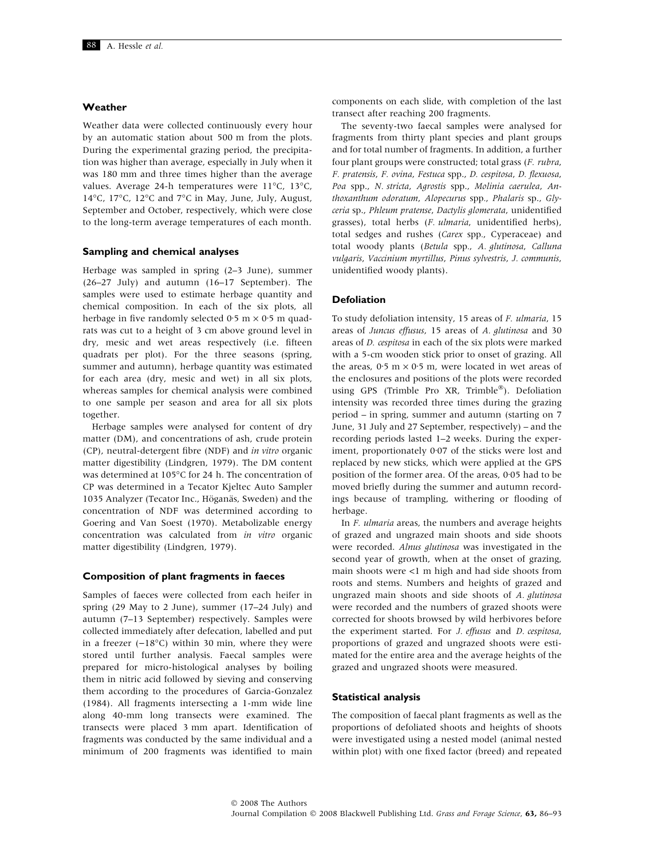## Weather

Weather data were collected continuously every hour by an automatic station about 500 m from the plots. During the experimental grazing period, the precipitation was higher than average, especially in July when it was 180 mm and three times higher than the average values. Average 24-h temperatures were  $11^{\circ}$ C,  $13^{\circ}$ C, 14°C, 17°C, 12°C and 7°C in May, June, July, August, September and October, respectively, which were close to the long-term average temperatures of each month.

#### Sampling and chemical analyses

Herbage was sampled in spring (2–3 June), summer (26–27 July) and autumn (16–17 September). The samples were used to estimate herbage quantity and chemical composition. In each of the six plots, all herbage in five randomly selected 0.5 m  $\times$  0.5 m quadrats was cut to a height of 3 cm above ground level in dry, mesic and wet areas respectively (i.e. fifteen quadrats per plot). For the three seasons (spring, summer and autumn), herbage quantity was estimated for each area (dry, mesic and wet) in all six plots, whereas samples for chemical analysis were combined to one sample per season and area for all six plots together.

Herbage samples were analysed for content of dry matter (DM), and concentrations of ash, crude protein (CP), neutral-detergent fibre (NDF) and in vitro organic matter digestibility (Lindgren, 1979). The DM content was determined at 105°C for 24 h. The concentration of CP was determined in a Tecator Kjeltec Auto Sampler 1035 Analyzer (Tecator Inc., Höganäs, Sweden) and the concentration of NDF was determined according to Goering and Van Soest (1970). Metabolizable energy concentration was calculated from in vitro organic matter digestibility (Lindgren, 1979).

#### Composition of plant fragments in faeces

Samples of faeces were collected from each heifer in spring (29 May to 2 June), summer (17–24 July) and autumn (7–13 September) respectively. Samples were collected immediately after defecation, labelled and put in a freezer  $(-18^{\circ}C)$  within 30 min, where they were stored until further analysis. Faecal samples were prepared for micro-histological analyses by boiling them in nitric acid followed by sieving and conserving them according to the procedures of Garcia-Gonzalez (1984). All fragments intersecting a 1-mm wide line along 40-mm long transects were examined. The transects were placed 3 mm apart. Identification of fragments was conducted by the same individual and a minimum of 200 fragments was identified to main components on each slide, with completion of the last transect after reaching 200 fragments.

The seventy-two faecal samples were analysed for fragments from thirty plant species and plant groups and for total number of fragments. In addition, a further four plant groups were constructed; total grass (F. rubra, F. pratensis, F. ovina, Festuca spp., D. cespitosa, D. flexuosa, Poa spp., N. stricta, Agrostis spp., Molinia caerulea, Anthoxanthum odoratum, Alopecurus spp., Phalaris sp., Glyceria sp., Phleum pratense, Dactylis glomerata, unidentified grasses), total herbs (F. ulmaria, unidentified herbs), total sedges and rushes (Carex spp., Cyperaceae) and total woody plants (Betula spp., A. glutinosa, Calluna vulgaris, Vaccinium myrtillus, Pinus sylvestris, J. communis, unidentified woody plants).

#### Defoliation

To study defoliation intensity, 15 areas of F. ulmaria, 15 areas of Juncus effusus, 15 areas of A. glutinosa and 30 areas of D. cespitosa in each of the six plots were marked with a 5-cm wooden stick prior to onset of grazing. All the areas,  $0.5 \text{ m} \times 0.5 \text{ m}$ , were located in wet areas of the enclosures and positions of the plots were recorded using GPS (Trimble Pro XR, Trimble®). Defoliation intensity was recorded three times during the grazing period – in spring, summer and autumn (starting on 7 June, 31 July and 27 September, respectively) – and the recording periods lasted 1–2 weeks. During the experiment, proportionately 0.07 of the sticks were lost and replaced by new sticks, which were applied at the GPS position of the former area. Of the areas, 0.05 had to be moved briefly during the summer and autumn recordings because of trampling, withering or flooding of herbage.

In F. ulmaria areas, the numbers and average heights of grazed and ungrazed main shoots and side shoots were recorded. Alnus glutinosa was investigated in the second year of growth, when at the onset of grazing, main shoots were <1 m high and had side shoots from roots and stems. Numbers and heights of grazed and ungrazed main shoots and side shoots of A. glutinosa were recorded and the numbers of grazed shoots were corrected for shoots browsed by wild herbivores before the experiment started. For J. effusus and D. cespitosa, proportions of grazed and ungrazed shoots were estimated for the entire area and the average heights of the grazed and ungrazed shoots were measured.

#### Statistical analysis

The composition of faecal plant fragments as well as the proportions of defoliated shoots and heights of shoots were investigated using a nested model (animal nested within plot) with one fixed factor (breed) and repeated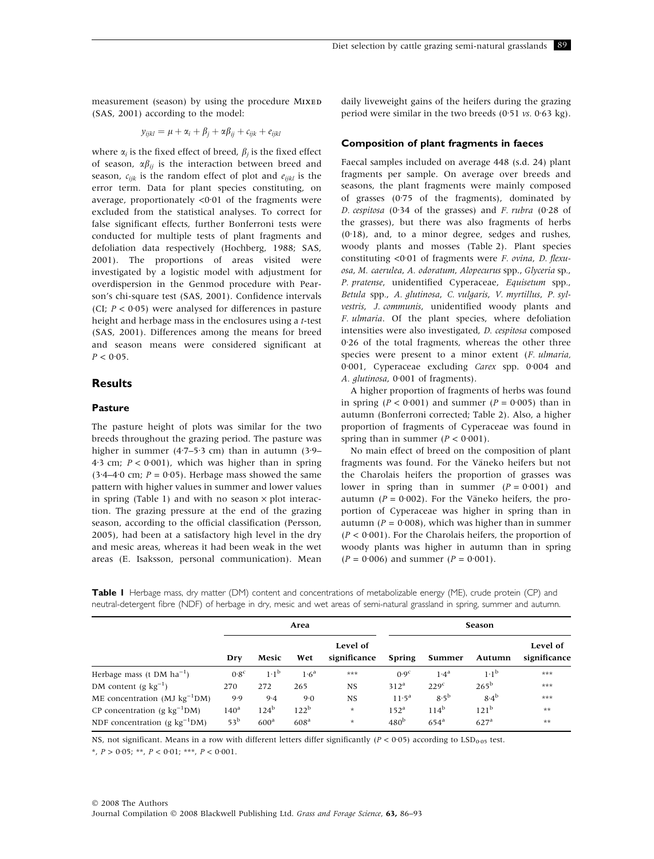measurement (season) by using the procedure MIXED (SAS, 2001) according to the model:

$$
y_{ijkl} = \mu + \alpha_i + \beta_j + \alpha \beta_{ij} + c_{ijk} + e_{ijkl}
$$

where  $\alpha_i$  is the fixed effect of breed,  $\beta_i$  is the fixed effect of season,  $\alpha\beta_{ij}$  is the interaction between breed and season,  $c_{iik}$  is the random effect of plot and  $e_{iikl}$  is the error term. Data for plant species constituting, on average, proportionately  $<0.01$  of the fragments were excluded from the statistical analyses. To correct for false significant effects, further Bonferroni tests were conducted for multiple tests of plant fragments and defoliation data respectively (Hochberg, 1988; SAS, 2001). The proportions of areas visited were investigated by a logistic model with adjustment for overdispersion in the Genmod procedure with Pearson's chi-square test (SAS, 2001). Confidence intervals (CI;  $P < 0.05$ ) were analysed for differences in pasture height and herbage mass in the enclosures using a t-test (SAS, 2001). Differences among the means for breed and season means were considered significant at  $P < 0.05$ .

## Results

#### Pasture

The pasture height of plots was similar for the two breeds throughout the grazing period. The pasture was higher in summer (4 $-7-5.3$  cm) than in autumn (3 $-9-$ 4.3 cm;  $P < 0.001$ ), which was higher than in spring  $(3.4-4.0 \text{ cm}; P = 0.05)$ . Herbage mass showed the same pattern with higher values in summer and lower values in spring (Table 1) and with no season  $\times$  plot interaction. The grazing pressure at the end of the grazing season, according to the official classification (Persson, 2005), had been at a satisfactory high level in the dry and mesic areas, whereas it had been weak in the wet areas (E. Isaksson, personal communication). Mean daily liveweight gains of the heifers during the grazing period were similar in the two breeds  $(0.51 \text{ vs. } 0.63 \text{ kg})$ .

## Composition of plant fragments in faeces

Faecal samples included on average 448 (s.d. 24) plant fragments per sample. On average over breeds and seasons, the plant fragments were mainly composed of grasses  $(0.75)$  of the fragments), dominated by D. cespitosa (0.34 of the grasses) and F. rubra (0.28 of the grasses), but there was also fragments of herbs  $(0.18)$ , and, to a minor degree, sedges and rushes, woody plants and mosses (Table 2). Plant species constituting  $\langle 0.01 \rangle$  of fragments were *F. ovina, D. flexu*osa, M. caerulea, A. odoratum, Alopecurus spp., Glyceria sp., P. pratense, unidentified Cyperaceae, Equisetum spp., Betula spp., A. glutinosa, C. vulgaris, V. myrtillus, P. sylvestris, J. communis, unidentified woody plants and F. ulmaria. Of the plant species, where defoliation intensities were also investigated, D. cespitosa composed  $0.26$  of the total fragments, whereas the other three species were present to a minor extent (F. ulmaria,  $0.001$ , Cyperaceae excluding *Carex* spp.  $0.004$  and A. glutinosa, 0.001 of fragments).

A higher proportion of fragments of herbs was found in spring ( $P < 0.001$ ) and summer ( $P = 0.005$ ) than in autumn (Bonferroni corrected; Table 2). Also, a higher proportion of fragments of Cyperaceae was found in spring than in summer  $(P < 0.001)$ .

No main effect of breed on the composition of plant fragments was found. For the Väneko heifers but not the Charolais heifers the proportion of grasses was lower in spring than in summer  $(P = 0.001)$  and autumn ( $P = 0.002$ ). For the Väneko heifers, the proportion of Cyperaceae was higher in spring than in autumn ( $P = 0.008$ ), which was higher than in summer  $(P < 0.001)$ . For the Charolais heifers, the proportion of woody plants was higher in autumn than in spring  $(P = 0.006)$  and summer  $(P = 0.001)$ .

| Table I Herbage mass, dry matter (DM) content and concentrations of metabolizable energy (ME), crude protein (CP) and        |  |  |  |  |
|------------------------------------------------------------------------------------------------------------------------------|--|--|--|--|
| neutral-detergent fibre (NDF) of herbage in dry, mesic and wet areas of semi-natural grassland in spring, summer and autumn. |  |  |  |  |

|                                    |                  |                  | Area             |                          | <b>Season</b>     |                    |                  |                          |  |  |
|------------------------------------|------------------|------------------|------------------|--------------------------|-------------------|--------------------|------------------|--------------------------|--|--|
|                                    | Dry              | Mesic            | Wet              | Level of<br>significance | Spring            | Summer             | Autumn           | Level of<br>significance |  |  |
| Herbage mass (t DM $ha^{-1}$ )     | 0.8 <sup>c</sup> | $1 \cdot 1^b$    | 1.6 <sup>a</sup> | ***                      | 0.9 <sup>c</sup>  | 1.4 <sup>a</sup>   | $1 \cdot 1^b$    | $***$                    |  |  |
| DM content (g $kg^{-1}$ )          | 270              | 272              | 265              | <b>NS</b>                | 312 <sup>a</sup>  | 229 <sup>c</sup>   | $265^{\rm b}$    | $***$                    |  |  |
| ME concentration (MJ $kg^{-1}DM$ ) | 9.9              | 9.4              | 9.0              | <b>NS</b>                | 11.5 <sup>a</sup> | $8.5^{\rm b}$      | $8.4^b$          | ***                      |  |  |
| CP concentration (g $kg^{-1}DM$ )  | 140 <sup>a</sup> | $124^b$          | 122 <sup>b</sup> | $\ast$                   | $152^{\text{a}}$  | $114^b$            | 121 <sup>b</sup> | $***$                    |  |  |
| NDF concentration (g $kg^{-1}DM$ ) | 53 <sup>b</sup>  | 600 <sup>a</sup> | 608 <sup>a</sup> | $\ast$                   | 480 <sup>b</sup>  | $654$ <sup>a</sup> | 627 <sup>a</sup> | $***$                    |  |  |

NS, not significant. Means in a row with different letters differ significantly ( $P < 0.05$ ) according to LSD<sub>0.05</sub> test.

\*,  $P > 0.05$ ; \*\*,  $P < 0.01$ ; \*\*\*,  $P < 0.001$ .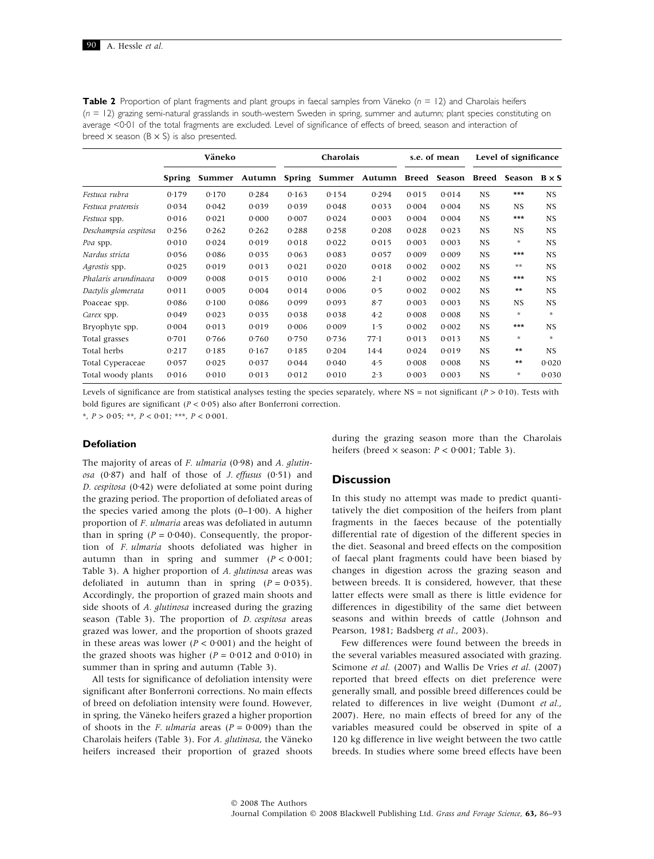| <b>Table 2</b> Proportion of plant fragments and plant groups in faecal samples from Väneko ( $n = 12$ ) and Charolais heifers |
|--------------------------------------------------------------------------------------------------------------------------------|
| $(n = 12)$ grazing semi-natural grasslands in south-western Sweden in spring, summer and autumn; plant species constituting on |
| average <0.01 of the total fragments are excluded. Level of significance of effects of breed, season and interaction of        |
| breed $\times$ season ( $B \times S$ ) is also presented.                                                                      |

|                       | Väneko        |        |        |        | Charolais |                     | s.e. of mean | Level of significance |           |                     |           |
|-----------------------|---------------|--------|--------|--------|-----------|---------------------|--------------|-----------------------|-----------|---------------------|-----------|
|                       | <b>Spring</b> | Summer | Autumn | Spring |           | Summer Autumn Breed |              | Season                | Breed     | Season $B \times S$ |           |
| Festuca rubra         | 0.179         | 0.170  | 0.284  | 0.163  | 0.154     | 0.294               | 0.015        | 0.014                 | <b>NS</b> | ***                 | NS.       |
| Festuca pratensis     | 0.034         | 0.042  | 0.039  | 0.039  | 0.048     | 0.033               | 0.004        | 0.004                 | <b>NS</b> | NS.                 | NS.       |
| Festuca spp.          | 0.016         | 0.021  | 0.000  | 0.007  | 0.024     | 0.003               | 0.004        | 0.004                 | <b>NS</b> | ***                 | NS.       |
| Deschampsia cespitosa | 0.256         | 0.262  | 0.262  | 0.288  | 0.258     | 0.208               | 0.028        | 0.023                 | <b>NS</b> | NS.                 | <b>NS</b> |
| Poa spp.              | 0.010         | 0.024  | 0.019  | 0.018  | 0.022     | 0.015               | 0.003        | 0.003                 | <b>NS</b> | $\ast$              | NS.       |
| Nardus stricta        | 0.056         | 0.086  | 0.035  | 0.063  | 0.083     | 0.057               | 0.009        | 0.009                 | <b>NS</b> | $***$               | NS.       |
| Agrostis spp.         | 0.025         | 0.019  | 0.013  | 0.021  | 0.020     | 0.018               | 0.002        | 0.002                 | <b>NS</b> | $***$               | NS        |
| Phalaris arundinacea  | 0.009         | 0.008  | 0.015  | 0.010  | 0.006     | $2 \cdot 1$         | 0.002        | 0.002                 | <b>NS</b> | $***$               | NS        |
| Dactylis glomerata    | 0.011         | 0.005  | 0.004  | 0.014  | 0.006     | 0.5                 | 0.002        | 0.002                 | <b>NS</b> | $***$               | NS.       |
| Poaceae spp.          | 0.086         | 0.100  | 0.086  | 0.099  | 0.093     | $8-7$               | 0.003        | 0.003                 | <b>NS</b> | NS.                 | NS.       |
| Carex spp.            | 0.049         | 0.023  | 0.035  | 0.038  | 0.038     | 4.2                 | 0.008        | 0.008                 | <b>NS</b> | $\star$             | $\ast$    |
| Bryophyte spp.        | 0.004         | 0.013  | 0.019  | 0.006  | 0.009     | 1.5                 | 0.002        | 0.002                 | <b>NS</b> | ***                 | NS.       |
| Total grasses         | 0.701         | 0.766  | 0.760  | 0.750  | 0.736     | $77 \cdot 1$        | 0.013        | 0.013                 | <b>NS</b> | $\ast$              | $\ast$    |
| Total herbs           | 0.217         | 0.185  | 0.167  | 0.185  | 0.204     | 14.4                | 0.024        | 0.019                 | <b>NS</b> | $***$               | NS.       |
| Total Cyperaceae      | 0.057         | 0.025  | 0.037  | 0.044  | 0.040     | 4.5                 | 0.008        | 0.008                 | <b>NS</b> | $***$               | 0.020     |
| Total woody plants    | 0.016         | 0.010  | 0.013  | 0.012  | 0.010     | 2.3                 | 0.003        | 0.003                 | <b>NS</b> | $\ast$              | 0.030     |

Levels of significance are from statistical analyses testing the species separately, where NS = not significant ( $P > 0.10$ ). Tests with bold figures are significant ( $P < 0.05$ ) also after Bonferroni correction.

\*,  $P > 0.05$ ; \*\*,  $P < 0.01$ ; \*\*\*,  $P < 0.001$ .

## Defoliation

The majority of areas of  $F.$  ulmaria (0.98) and  $A.$  glutinosa  $(0.87)$  and half of those of *J. effusus*  $(0.51)$  and D. cespitosa  $(0.42)$  were defoliated at some point during the grazing period. The proportion of defoliated areas of the species varied among the plots  $(0-1.00)$ . A higher proportion of F. ulmaria areas was defoliated in autumn than in spring ( $P = 0.040$ ). Consequently, the proportion of F. ulmaria shoots defoliated was higher in autumn than in spring and summer  $(P < 0.001)$ ; Table 3). A higher proportion of A. glutinosa areas was defoliated in autumn than in spring  $(P = 0.035)$ . Accordingly, the proportion of grazed main shoots and side shoots of A. glutinosa increased during the grazing season (Table 3). The proportion of *D. cespitosa* areas grazed was lower, and the proportion of shoots grazed in these areas was lower ( $P < 0.001$ ) and the height of the grazed shoots was higher ( $P = 0.012$  and 0.010) in summer than in spring and autumn (Table 3).

All tests for significance of defoliation intensity were significant after Bonferroni corrections. No main effects of breed on defoliation intensity were found. However, in spring, the Väneko heifers grazed a higher proportion of shoots in the *F. ulmaria* areas  $(P = 0.009)$  than the Charolais heifers (Table 3). For A. glutinosa, the Väneko heifers increased their proportion of grazed shoots during the grazing season more than the Charolais heifers (breed  $\times$  season:  $P < 0.001$ ; Table 3).

# **Discussion**

In this study no attempt was made to predict quantitatively the diet composition of the heifers from plant fragments in the faeces because of the potentially differential rate of digestion of the different species in the diet. Seasonal and breed effects on the composition of faecal plant fragments could have been biased by changes in digestion across the grazing season and between breeds. It is considered, however, that these latter effects were small as there is little evidence for differences in digestibility of the same diet between seasons and within breeds of cattle (Johnson and Pearson, 1981; Badsberg et al., 2003).

Few differences were found between the breeds in the several variables measured associated with grazing. Scimone et al. (2007) and Wallis De Vries et al. (2007) reported that breed effects on diet preference were generally small, and possible breed differences could be related to differences in live weight (Dumont et al., 2007). Here, no main effects of breed for any of the variables measured could be observed in spite of a 120 kg difference in live weight between the two cattle breeds. In studies where some breed effects have been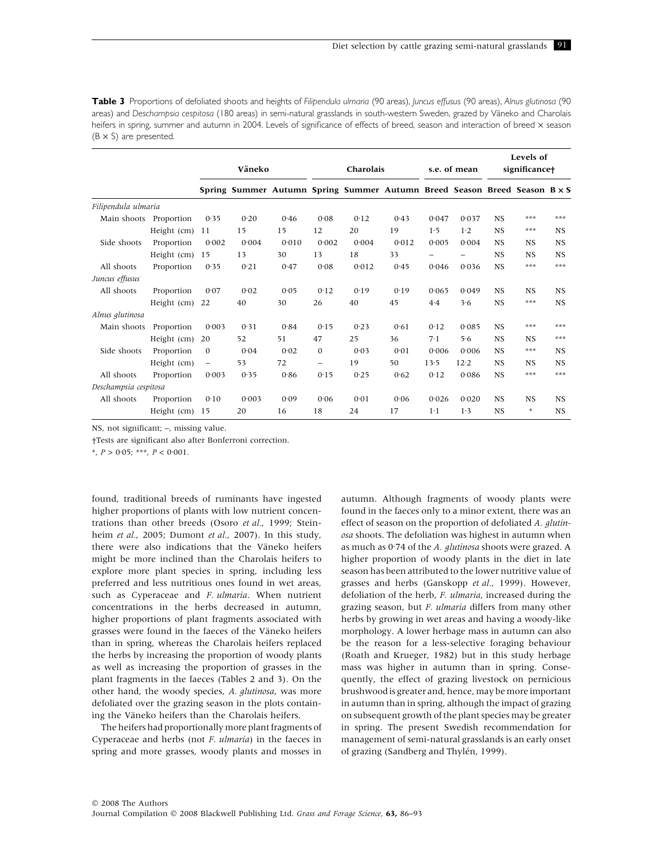Table 3 Proportions of defoliated shoots and heights of Filipendula ulmaria (90 areas), Juncus effusus (90 areas), Alnus glutinosa (90 areas) and Deschampsia cespitosa (180 areas) in semi-natural grasslands in south-western Sweden, grazed by Väneko and Charolais heifers in spring, summer and autumn in 2004. Levels of significance of effects of breed, season and interaction of breed x season  $(B \times S)$  are presented.

|                        |               | Väneko                   |                                                                           |       | Charolais                |       |       | s.e. of mean |       | Levels of<br>significance+ |           |           |
|------------------------|---------------|--------------------------|---------------------------------------------------------------------------|-------|--------------------------|-------|-------|--------------|-------|----------------------------|-----------|-----------|
|                        |               |                          | Spring Summer Autumn Spring Summer Autumn Breed Season Breed Season B × S |       |                          |       |       |              |       |                            |           |           |
| Filipendula ulmaria    |               |                          |                                                                           |       |                          |       |       |              |       |                            |           |           |
| Main shoots Proportion |               | 0.35                     | 0.20                                                                      | 0.46  | 0.08                     | 0.12  | 0.43  | 0.047        | 0.037 | <b>NS</b>                  | ***       | ***       |
|                        | Height (cm)   | 11                       | 15                                                                        | 15    | 12                       | 20    | 19    | 1.5          | 1.2   | <b>NS</b>                  | ***       | <b>NS</b> |
| Side shoots            | Proportion    | 0.002                    | 0.004                                                                     | 0.010 | 0.002                    | 0.004 | 0.012 | 0.005        | 0.004 | <b>NS</b>                  | <b>NS</b> | <b>NS</b> |
|                        | Height $(cm)$ | 15                       | 13                                                                        | 30    | 13                       | 18    | 33    |              |       | <b>NS</b>                  | <b>NS</b> | <b>NS</b> |
| All shoots             | Proportion    | 0.35                     | 0.21                                                                      | 0.47  | 0.08                     | 0.012 | 0.45  | 0.046        | 0.036 | <b>NS</b>                  | ***       | ***       |
| Juncus effusus         |               |                          |                                                                           |       |                          |       |       |              |       |                            |           |           |
| All shoots             | Proportion    | 0.07                     | 0.02                                                                      | 0.05  | 0.12                     | 0.19  | 0.19  | 0.065        | 0.049 | <b>NS</b>                  | <b>NS</b> | <b>NS</b> |
|                        | Height $(cm)$ | 22                       | 40                                                                        | 30    | 26                       | 40    | 45    | 4.4          | 3.6   | <b>NS</b>                  | ***       | <b>NS</b> |
| Alnus glutinosa        |               |                          |                                                                           |       |                          |       |       |              |       |                            |           |           |
| Main shoots            | Proportion    | 0.003                    | 0.31                                                                      | 0.84  | 0.15                     | 0.23  | 0.61  | 0.12         | 0.085 | <b>NS</b>                  | ***       | ***       |
|                        | Height (cm)   | 20                       | 52                                                                        | 51    | 47                       | 25    | 36    | 7.1          | 5.6   | <b>NS</b>                  | <b>NS</b> | ***       |
| Side shoots            | Proportion    | $\mathbf{0}$             | 0.04                                                                      | 0.02  | $\mathbf{0}$             | 0.03  | 0.01  | 0.006        | 0.006 | <b>NS</b>                  | ***       | <b>NS</b> |
|                        | Height (cm)   | $\overline{\phantom{m}}$ | 53                                                                        | 72    | $\overline{\phantom{0}}$ | 19    | 50    | 13.5         | 12.2  | <b>NS</b>                  | <b>NS</b> | <b>NS</b> |
| All shoots             | Proportion    | 0.003                    | 0.35                                                                      | 0.86  | 0.15                     | 0.25  | 0.62  | 0.12         | 0.086 | <b>NS</b>                  | ***       | ***       |
| Deschampsia cespitosa  |               |                          |                                                                           |       |                          |       |       |              |       |                            |           |           |
| All shoots             | Proportion    | 0.10                     | 0.003                                                                     | 0.09  | 0.06                     | 0.01  | 0.06  | 0.026        | 0.020 | <b>NS</b>                  | <b>NS</b> | <b>NS</b> |
|                        | Height (cm)   | 15                       | 20                                                                        | 16    | 18                       | 24    | 17    | $1-1$        | 1.3   | <b>NS</b>                  | $\star$   | <b>NS</b> |

NS, not significant; –, missing value.

†Tests are significant also after Bonferroni correction.

\*,  $P > 0.05$ ; \*\*\*,  $P < 0.001$ .

found, traditional breeds of ruminants have ingested higher proportions of plants with low nutrient concentrations than other breeds (Osoro et al., 1999; Steinheim et al., 2005; Dumont et al., 2007). In this study, there were also indications that the Väneko heifers might be more inclined than the Charolais heifers to explore more plant species in spring, including less preferred and less nutritious ones found in wet areas, such as Cyperaceae and F. ulmaria. When nutrient concentrations in the herbs decreased in autumn, higher proportions of plant fragments associated with grasses were found in the faeces of the Väneko heifers than in spring, whereas the Charolais heifers replaced the herbs by increasing the proportion of woody plants as well as increasing the proportion of grasses in the plant fragments in the faeces (Tables 2 and 3). On the other hand, the woody species, A. glutinosa, was more defoliated over the grazing season in the plots containing the Väneko heifers than the Charolais heifers.

The heifers had proportionally more plant fragments of Cyperaceae and herbs (not F. ulmaria) in the faeces in spring and more grasses, woody plants and mosses in autumn. Although fragments of woody plants were found in the faeces only to a minor extent, there was an effect of season on the proportion of defoliated A. glutinosa shoots. The defoliation was highest in autumn when as much as 0.74 of the A. glutinosa shoots were grazed. A higher proportion of woody plants in the diet in late season has been attributed to the lower nutritive value of grasses and herbs (Ganskopp et al., 1999). However, defoliation of the herb, F. ulmaria, increased during the grazing season, but F. ulmaria differs from many other herbs by growing in wet areas and having a woody-like morphology. A lower herbage mass in autumn can also be the reason for a less-selective foraging behaviour (Roath and Krueger, 1982) but in this study herbage mass was higher in autumn than in spring. Consequently, the effect of grazing livestock on pernicious brushwood is greater and, hence, may be more important in autumn than in spring, although the impact of grazing on subsequent growth of the plant species may be greater in spring. The present Swedish recommendation for management of semi-natural grasslands is an early onset of grazing (Sandberg and Thylén, 1999).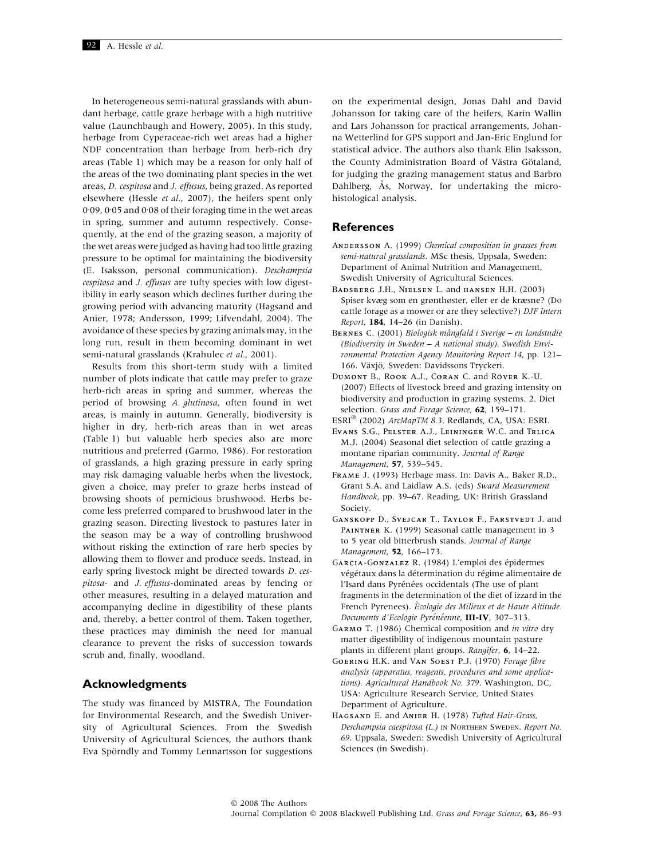In heterogeneous semi-natural grasslands with abundant herbage, cattle graze herbage with a high nutritive value (Launchbaugh and Howery, 2005). In this study, herbage from Cyperaceae-rich wet areas had a higher NDF concentration than herbage from herb-rich dry areas (Table 1) which may be a reason for only half of the areas of the two dominating plant species in the wet areas, D. cespitosa and J. effusus, being grazed. As reported elsewhere (Hessle et al., 2007), the heifers spent only 0.09, 0.05 and 0.08 of their foraging time in the wet areas in spring, summer and autumn respectively. Consequently, at the end of the grazing season, a majority of the wet areas were judged as having had too little grazing pressure to be optimal for maintaining the biodiversity (E. Isaksson, personal communication). Deschampsia cespitosa and J. effusus are tufty species with low digestibility in early season which declines further during the growing period with advancing maturity (Hagsand and Anier, 1978; Andersson, 1999; Lifvendahl, 2004). The avoidance of these species by grazing animals may, in the long run, result in them becoming dominant in wet semi-natural grasslands (Krahulec et al., 2001).

Results from this short-term study with a limited number of plots indicate that cattle may prefer to graze herb-rich areas in spring and summer, whereas the period of browsing A. glutinosa, often found in wet areas, is mainly in autumn. Generally, biodiversity is higher in dry, herb-rich areas than in wet areas (Table 1) but valuable herb species also are more nutritious and preferred (Garmo, 1986). For restoration of grasslands, a high grazing pressure in early spring may risk damaging valuable herbs when the livestock, given a choice, may prefer to graze herbs instead of browsing shoots of pernicious brushwood. Herbs become less preferred compared to brushwood later in the grazing season. Directing livestock to pastures later in the season may be a way of controlling brushwood without risking the extinction of rare herb species by allowing them to flower and produce seeds. Instead, in early spring livestock might be directed towards D. cespitosa- and J. effusus-dominated areas by fencing or other measures, resulting in a delayed maturation and accompanying decline in digestibility of these plants and, thereby, a better control of them. Taken together, these practices may diminish the need for manual clearance to prevent the risks of succession towards scrub and, finally, woodland.

## Acknowledgments

The study was financed by MISTRA, The Foundation for Environmental Research, and the Swedish University of Agricultural Sciences. From the Swedish University of Agricultural Sciences, the authors thank Eva Spörndly and Tommy Lennartsson for suggestions on the experimental design, Jonas Dahl and David Johansson for taking care of the heifers, Karin Wallin and Lars Johansson for practical arrangements, Johanna Wetterlind for GPS support and Jan-Eric Englund for statistical advice. The authors also thank Elin Isaksson, the County Administration Board of Västra Götaland, for judging the grazing management status and Barbro Dahlberg,  $\AA$ s, Norway, for undertaking the microhistological analysis.

## **References**

- ANDERSSON A. (1999) Chemical composition in grasses from semi-natural grasslands. MSc thesis, Uppsala, Sweden: Department of Animal Nutrition and Management, Swedish University of Agricultural Sciences.
- BADSBERG J.H., NIELSEN L. and HANSEN H.H. (2003) Spiser kvæg som en grønthøster, eller er de kræsne? (Do cattle forage as a mower or are they selective?) DJF Intern Report, 184, 14–26 (in Danish).
- BERNES C. (2001) Biologisk mångfald i Sverige en landstudie (Biodiversity in Sweden – A national study). Swedish Environmental Protection Agency Monitoring Report 14, pp. 121– 166. Växjö, Sweden: Davidssons Tryckeri.
- DUMONT B., ROOK A.J., CORAN C. and RÖVER K.-U. (2007) Effects of livestock breed and grazing intensity on biodiversity and production in grazing systems. 2. Diet selection. Grass and Forage Science, 62, 159-171.
- ESRI<sup>®</sup> (2002) ArcMapTM 8.3. Redlands, CA, USA: ESRI.
- EVANS S.G., PELSTER A.J., LEININGER W.C. and TRLICA M.J. (2004) Seasonal diet selection of cattle grazing a montane riparian community. Journal of Range Management, 57, 539–545.
- FRAME J. (1993) Herbage mass. In: Davis A., Baker R.D., Grant S.A. and Laidlaw A.S. (eds) Sward Measurement Handbook, pp. 39–67. Reading, UK: British Grassland Society.
- GANSKOPP D., SVEJCAR T., TAYLOR F., FARSTVEDT J. and PAINTNER K. (1999) Seasonal cattle management in 3 to 5 year old bitterbrush stands. Journal of Range Management, 52, 166–173.
- GARCIA-GONZALEZ R. (1984) L'emploi des épidermes végétaux dans la détermination du régime alimentaire de l'Isard dans Pyrénées occidentals (The use of plant fragments in the determination of the diet of izzard in the French Pyrenees). Ecologie des Milieux et de Haute Altitude. Documents d'Ecologie Pyrénéenne, III-IV, 307-313.
- GARMO T. (1986) Chemical composition and in vitro dry matter digestibility of indigenous mountain pasture plants in different plant groups. Rangifer, 6, 14–22.
- GOERING H.K. and VAN SOEST P.J. (1970) Forage fibre analysis (apparatus, reagents, procedures and some applications). Agricultural Handbook No. 379. Washington, DC, USA: Agriculture Research Service, United States Department of Agriculture.
- HAGSAND E. and ANIER H. (1978) Tufted Hair-Grass, Deschampsia caespitosa (L.) IN NORTHERN SWEDEN. Report No. 69. Uppsala, Sweden: Swedish University of Agricultural Sciences (in Swedish).